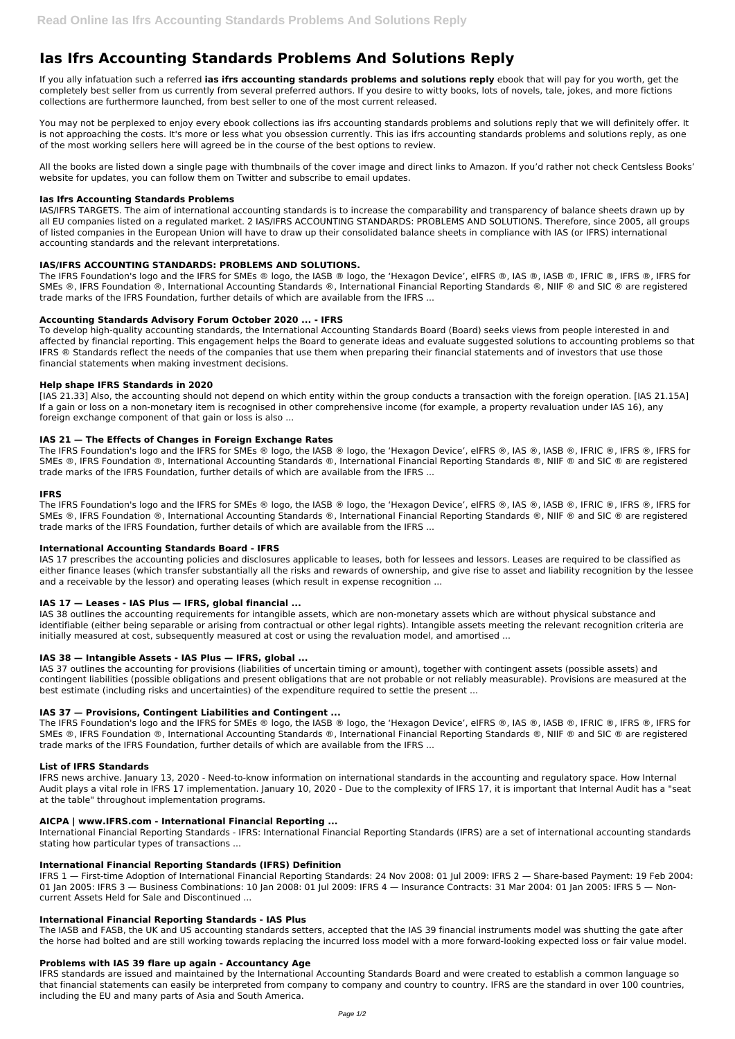# **Ias Ifrs Accounting Standards Problems And Solutions Reply**

If you ally infatuation such a referred **ias ifrs accounting standards problems and solutions reply** ebook that will pay for you worth, get the completely best seller from us currently from several preferred authors. If you desire to witty books, lots of novels, tale, jokes, and more fictions collections are furthermore launched, from best seller to one of the most current released.

You may not be perplexed to enjoy every ebook collections ias ifrs accounting standards problems and solutions reply that we will definitely offer. It is not approaching the costs. It's more or less what you obsession currently. This ias ifrs accounting standards problems and solutions reply, as one of the most working sellers here will agreed be in the course of the best options to review.

All the books are listed down a single page with thumbnails of the cover image and direct links to Amazon. If you'd rather not check Centsless Books' website for updates, you can follow them on Twitter and subscribe to email updates.

The IFRS Foundation's logo and the IFRS for SMEs ® logo, the IASB ® logo, the 'Hexagon Device', eIFRS ®, IAS ®, IASB ®, IFRIC ®, IFRS ®, IFRS for SMEs ®, IFRS Foundation ®, International Accounting Standards ®, International Financial Reporting Standards ®, NIIF ® and SIC ® are registered trade marks of the IFRS Foundation, further details of which are available from the IFRS ...

## **Ias Ifrs Accounting Standards Problems**

IAS/IFRS TARGETS. The aim of international accounting standards is to increase the comparability and transparency of balance sheets drawn up by all EU companies listed on a regulated market. 2 IAS/IFRS ACCOUNTING STANDARDS: PROBLEMS AND SOLUTIONS. Therefore, since 2005, all groups of listed companies in the European Union will have to draw up their consolidated balance sheets in compliance with IAS (or IFRS) international accounting standards and the relevant interpretations.

# **IAS/IFRS ACCOUNTING STANDARDS: PROBLEMS AND SOLUTIONS.**

The IFRS Foundation's logo and the IFRS for SMEs ® logo, the IASB ® logo, the 'Hexagon Device', eIFRS ®, IAS ®, IASB ®, IFRIC ®, IFRS ®, IFRS for SMEs ®, IFRS Foundation ®, International Accounting Standards ®, International Financial Reporting Standards ®, NIIF ® and SIC ® are registered trade marks of the IFRS Foundation, further details of which are available from the IFRS ...

The IFRS Foundation's logo and the IFRS for SMEs ® logo, the IASB ® logo, the 'Hexagon Device', eIFRS ®, IAS ®, IASB ®, IFRIC ®, IFRS ®, IFRS for SMEs ®, IFRS Foundation ®, International Accounting Standards ®, International Financial Reporting Standards ®, NIIF ® and SIC ® are registered trade marks of the IFRS Foundation, further details of which are available from the IFRS ...

# **Accounting Standards Advisory Forum October 2020 ... - IFRS**

To develop high-quality accounting standards, the International Accounting Standards Board (Board) seeks views from people interested in and affected by financial reporting. This engagement helps the Board to generate ideas and evaluate suggested solutions to accounting problems so that IFRS ® Standards reflect the needs of the companies that use them when preparing their financial statements and of investors that use those financial statements when making investment decisions.

# **Help shape IFRS Standards in 2020**

The IFRS Foundation's logo and the IFRS for SMEs ® logo, the IASB ® logo, the 'Hexagon Device', eIFRS ®, IAS ®, IASB ®, IFRIC ®, IFRS ®, IFRS for SMEs ®, IFRS Foundation ®, International Accounting Standards ®, International Financial Reporting Standards ®, NIIF ® and SIC ® are registered trade marks of the IFRS Foundation, further details of which are available from the IFRS ...

[IAS 21.33] Also, the accounting should not depend on which entity within the group conducts a transaction with the foreign operation. [IAS 21.15A] If a gain or loss on a non-monetary item is recognised in other comprehensive income (for example, a property revaluation under IAS 16), any foreign exchange component of that gain or loss is also ...

# **IAS 21 — The Effects of Changes in Foreign Exchange Rates**

## **IFRS**

## **International Accounting Standards Board - IFRS**

IAS 17 prescribes the accounting policies and disclosures applicable to leases, both for lessees and lessors. Leases are required to be classified as either finance leases (which transfer substantially all the risks and rewards of ownership, and give rise to asset and liability recognition by the lessee and a receivable by the lessor) and operating leases (which result in expense recognition ...

# **IAS 17 — Leases - IAS Plus — IFRS, global financial ...**

IAS 38 outlines the accounting requirements for intangible assets, which are non-monetary assets which are without physical substance and identifiable (either being separable or arising from contractual or other legal rights). Intangible assets meeting the relevant recognition criteria are initially measured at cost, subsequently measured at cost or using the revaluation model, and amortised ...

## **IAS 38 — Intangible Assets - IAS Plus — IFRS, global ...**

IAS 37 outlines the accounting for provisions (liabilities of uncertain timing or amount), together with contingent assets (possible assets) and contingent liabilities (possible obligations and present obligations that are not probable or not reliably measurable). Provisions are measured at the best estimate (including risks and uncertainties) of the expenditure required to settle the present ...

# **IAS 37 — Provisions, Contingent Liabilities and Contingent ...**

## **List of IFRS Standards**

IFRS news archive. January 13, 2020 - Need-to-know information on international standards in the accounting and regulatory space. How Internal

Audit plays a vital role in IFRS 17 implementation. January 10, 2020 - Due to the complexity of IFRS 17, it is important that Internal Audit has a "seat at the table" throughout implementation programs.

#### **AICPA | www.IFRS.com - International Financial Reporting ...**

International Financial Reporting Standards - IFRS: International Financial Reporting Standards (IFRS) are a set of international accounting standards stating how particular types of transactions ...

#### **International Financial Reporting Standards (IFRS) Definition**

IFRS 1 — First-time Adoption of International Financial Reporting Standards: 24 Nov 2008: 01 Jul 2009: IFRS 2 — Share-based Payment: 19 Feb 2004: 01 Jan 2005: IFRS 3 - Business Combinations: 10 Jan 2008: 01 Jul 2009: IFRS 4 - Insurance Contracts: 31 Mar 2004: 01 Jan 2005: IFRS 5 - Noncurrent Assets Held for Sale and Discontinued ...

## **International Financial Reporting Standards - IAS Plus**

The IASB and FASB, the UK and US accounting standards setters, accepted that the IAS 39 financial instruments model was shutting the gate after the horse had bolted and are still working towards replacing the incurred loss model with a more forward-looking expected loss or fair value model.

## **Problems with IAS 39 flare up again - Accountancy Age**

IFRS standards are issued and maintained by the International Accounting Standards Board and were created to establish a common language so that financial statements can easily be interpreted from company to company and country to country. IFRS are the standard in over 100 countries, including the EU and many parts of Asia and South America.